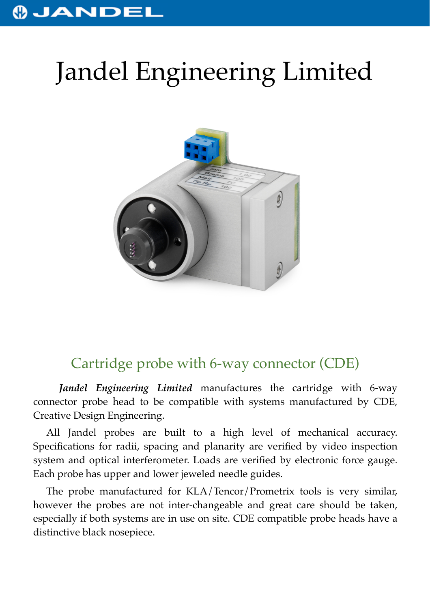## **OJANDEL**

## Jandel Engineering Limited



## Cartridge probe with 6-way connector (CDE)

*Jandel Engineering Limited* manufactures the cartridge with 6-way connector probe head to be compatible with systems manufactured by CDE, Creative Design Engineering.

All Jandel probes are built to a high level of mechanical accuracy. Specifications for radii, spacing and planarity are verified by video inspection system and optical interferometer. Loads are verified by electronic force gauge. Each probe has upper and lower jeweled needle guides.

The probe manufactured for KLA/Tencor/Prometrix tools is very similar, however the probes are not inter-changeable and great care should be taken, especially if both systems are in use on site. CDE compatible probe heads have a distinctive black nosepiece.